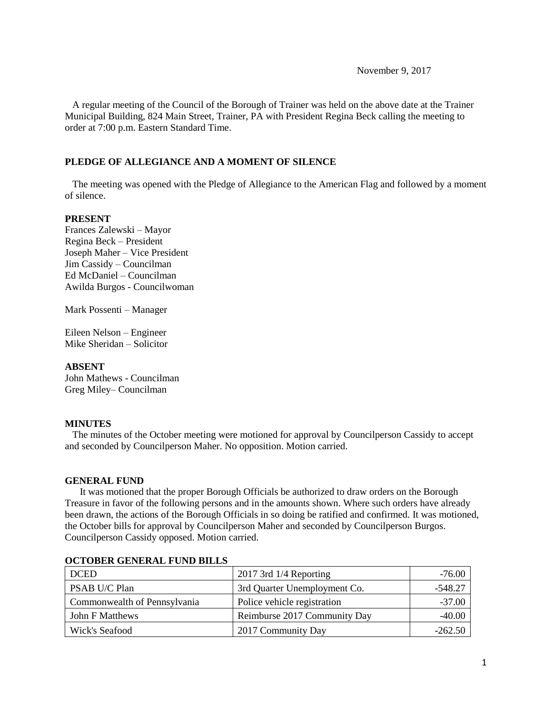November 9, 2017

 A regular meeting of the Council of the Borough of Trainer was held on the above date at the Trainer Municipal Building, 824 Main Street, Trainer, PA with President Regina Beck calling the meeting to order at 7:00 p.m. Eastern Standard Time.

## **PLEDGE OF ALLEGIANCE AND A MOMENT OF SILENCE**

 The meeting was opened with the Pledge of Allegiance to the American Flag and followed by a moment of silence.

### **PRESENT**

Frances Zalewski – Mayor Regina Beck – President Joseph Maher – Vice President Jim Cassidy – Councilman Ed McDaniel – Councilman Awilda Burgos - Councilwoman

Mark Possenti – Manager

Eileen Nelson – Engineer Mike Sheridan – Solicitor

### **ABSENT**

John Mathews - Councilman Greg Miley– Councilman

### **MINUTES**

The minutes of the October meeting were motioned for approval by Councilperson Cassidy to accept and seconded by Councilperson Maher. No opposition. Motion carried.

#### **GENERAL FUND**

 It was motioned that the proper Borough Officials be authorized to draw orders on the Borough Treasure in favor of the following persons and in the amounts shown. Where such orders have already been drawn, the actions of the Borough Officials in so doing be ratified and confirmed. It was motioned, the October bills for approval by Councilperson Maher and seconded by Councilperson Burgos. Councilperson Cassidy opposed. Motion carried.

| <b>DCED</b>                  | $2017$ 3rd $1/4$ Reporting   | $-76.00$  |
|------------------------------|------------------------------|-----------|
| PSAB U/C Plan                | 3rd Quarter Unemployment Co. | $-548.27$ |
| Commonwealth of Pennsylvania | Police vehicle registration  | $-37.00$  |
| John F Matthews              | Reimburse 2017 Community Day | $-40.00$  |
| Wick's Seafood               | 2017 Community Day           | $-262.50$ |

#### **OCTOBER GENERAL FUND BILLS**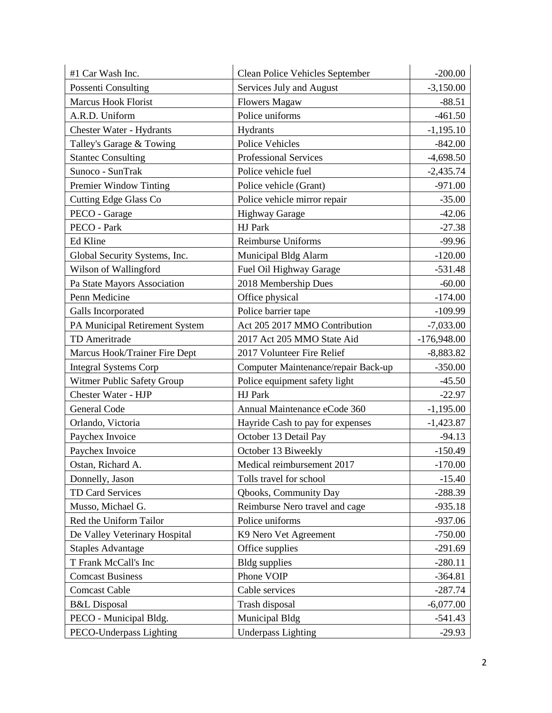| #1 Car Wash Inc.               | <b>Clean Police Vehicles September</b> | $-200.00$     |
|--------------------------------|----------------------------------------|---------------|
| Possenti Consulting            | Services July and August               | $-3,150.00$   |
| <b>Marcus Hook Florist</b>     | <b>Flowers Magaw</b>                   | $-88.51$      |
| A.R.D. Uniform                 | Police uniforms                        | $-461.50$     |
| Chester Water - Hydrants       | Hydrants                               | $-1,195.10$   |
| Talley's Garage & Towing       | <b>Police Vehicles</b>                 | $-842.00$     |
| <b>Stantec Consulting</b>      | <b>Professional Services</b>           | $-4,698.50$   |
| Sunoco - SunTrak               | Police vehicle fuel                    | $-2,435.74$   |
| Premier Window Tinting         | Police vehicle (Grant)                 | $-971.00$     |
| <b>Cutting Edge Glass Co</b>   | Police vehicle mirror repair           | $-35.00$      |
| PECO - Garage                  | <b>Highway Garage</b>                  | $-42.06$      |
| PECO - Park                    | HJ Park                                | $-27.38$      |
| Ed Kline                       | Reimburse Uniforms                     | $-99.96$      |
| Global Security Systems, Inc.  | Municipal Bldg Alarm                   | $-120.00$     |
| Wilson of Wallingford          | Fuel Oil Highway Garage                | $-531.48$     |
| Pa State Mayors Association    | 2018 Membership Dues                   | $-60.00$      |
| Penn Medicine                  | Office physical                        | $-174.00$     |
| Galls Incorporated             | Police barrier tape                    | $-109.99$     |
| PA Municipal Retirement System | Act 205 2017 MMO Contribution          | $-7,033.00$   |
| TD Ameritrade                  | 2017 Act 205 MMO State Aid             | $-176,948.00$ |
| Marcus Hook/Trainer Fire Dept  | 2017 Volunteer Fire Relief             | $-8,883.82$   |
| <b>Integral Systems Corp</b>   | Computer Maintenance/repair Back-up    | $-350.00$     |
| Witmer Public Safety Group     | Police equipment safety light          | $-45.50$      |
| Chester Water - HJP            | HJ Park                                | $-22.97$      |
| <b>General Code</b>            | Annual Maintenance eCode 360           | $-1,195.00$   |
| Orlando, Victoria              | Hayride Cash to pay for expenses       | $-1,423.87$   |
| Paychex Invoice                | October 13 Detail Pay                  | $-94.13$      |
| Paychex Invoice                | October 13 Biweekly                    | $-150.49$     |
| Ostan, Richard A.              | Medical reimbursement 2017             | $-170.00$     |
| Donnelly, Jason                | Tolls travel for school                | $-15.40$      |
| TD Card Services               | Qbooks, Community Day                  | $-288.39$     |
| Musso, Michael G.              | Reimburse Nero travel and cage         | $-935.18$     |
| Red the Uniform Tailor         | Police uniforms                        | $-937.06$     |
| De Valley Veterinary Hospital  | K9 Nero Vet Agreement                  | $-750.00$     |
| <b>Staples Advantage</b>       | Office supplies                        | $-291.69$     |
| T Frank McCall's Inc           | <b>Bldg</b> supplies                   | $-280.11$     |
| <b>Comcast Business</b>        | Phone VOIP                             | $-364.81$     |
| <b>Comcast Cable</b>           | Cable services                         | $-287.74$     |
| <b>B&amp;L</b> Disposal        | Trash disposal                         | $-6,077.00$   |
| PECO - Municipal Bldg.         | Municipal Bldg                         | $-541.43$     |
| PECO-Underpass Lighting        | <b>Underpass Lighting</b>              | $-29.93$      |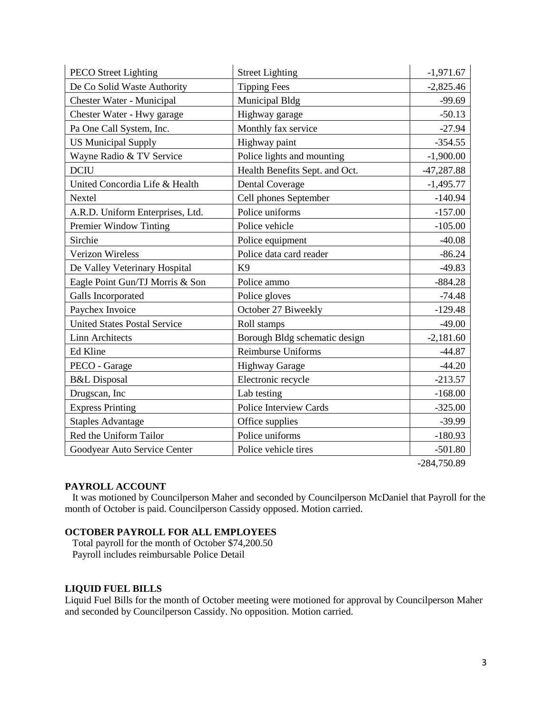| <b>PECO Street Lighting</b>         | <b>Street Lighting</b>         | $-1,971.67$  |
|-------------------------------------|--------------------------------|--------------|
| De Co Solid Waste Authority         | <b>Tipping Fees</b>            | $-2,825.46$  |
| Chester Water - Municipal           | Municipal Bldg                 | $-99.69$     |
| Chester Water - Hwy garage          | Highway garage                 | $-50.13$     |
| Pa One Call System, Inc.            | Monthly fax service            | $-27.94$     |
| <b>US Municipal Supply</b>          | Highway paint                  | $-354.55$    |
| Wayne Radio & TV Service            | Police lights and mounting     | $-1,900.00$  |
| <b>DCIU</b>                         | Health Benefits Sept. and Oct. | $-47,287.88$ |
| United Concordia Life & Health      | <b>Dental Coverage</b>         | $-1,495.77$  |
| Nextel                              | Cell phones September          | $-140.94$    |
| A.R.D. Uniform Enterprises, Ltd.    | Police uniforms                | $-157.00$    |
| Premier Window Tinting              | Police vehicle                 | $-105.00$    |
| Sirchie                             | Police equipment               | $-40.08$     |
| <b>Verizon Wireless</b>             | Police data card reader        | $-86.24$     |
| De Valley Veterinary Hospital       | K <sub>9</sub>                 | $-49.83$     |
| Eagle Point Gun/TJ Morris & Son     | Police ammo                    | $-884.28$    |
| Galls Incorporated                  | Police gloves                  | $-74.48$     |
| Paychex Invoice                     | October 27 Biweekly            | $-129.48$    |
| <b>United States Postal Service</b> | Roll stamps                    | $-49.00$     |
| <b>Linn Architects</b>              | Borough Bldg schematic design  | $-2,181.60$  |
| Ed Kline                            | Reimburse Uniforms             | $-44.87$     |
| PECO - Garage                       | <b>Highway Garage</b>          | $-44.20$     |
| <b>B&amp;L</b> Disposal             | Electronic recycle             | $-213.57$    |
| Drugscan, Inc                       | Lab testing                    | $-168.00$    |
| <b>Express Printing</b>             | <b>Police Interview Cards</b>  | $-325.00$    |
| <b>Staples Advantage</b>            | Office supplies                | $-39.99$     |
| Red the Uniform Tailor              | Police uniforms                | $-180.93$    |
| Goodyear Auto Service Center        | Police vehicle tires           | $-501.80$    |

-284,750.89

### **PAYROLL ACCOUNT**

 It was motioned by Councilperson Maher and seconded by Councilperson McDaniel that Payroll for the month of October is paid. Councilperson Cassidy opposed. Motion carried.

# **OCTOBER PAYROLL FOR ALL EMPLOYEES**

 Total payroll for the month of October \$74,200.50 Payroll includes reimbursable Police Detail

#### **LIQUID FUEL BILLS**

Liquid Fuel Bills for the month of October meeting were motioned for approval by Councilperson Maher and seconded by Councilperson Cassidy. No opposition. Motion carried.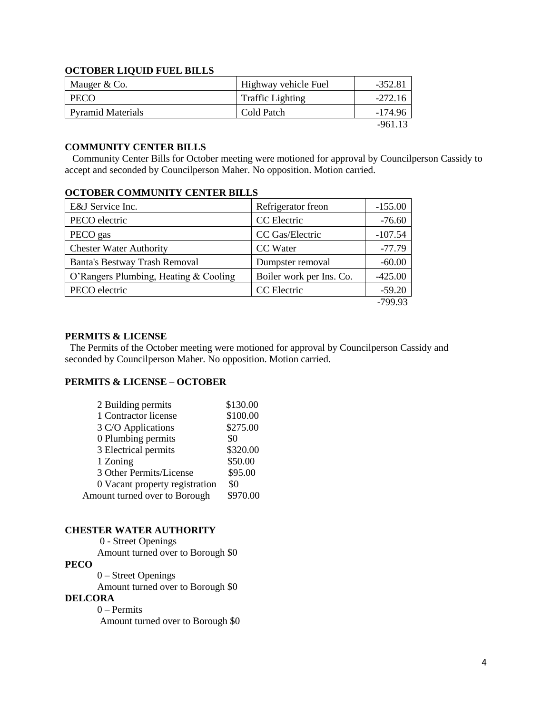### **OCTOBER LIQUID FUEL BILLS**

| Mauger & Co.             | Highway vehicle Fuel    | $-352.81$ |
|--------------------------|-------------------------|-----------|
| <b>PECO</b>              | <b>Traffic Lighting</b> | $-272.16$ |
| <b>Pyramid Materials</b> | Cold Patch              | -174.96   |
|                          |                         | -961 13   |

#### **COMMUNITY CENTER BILLS**

 Community Center Bills for October meeting were motioned for approval by Councilperson Cassidy to accept and seconded by Councilperson Maher. No opposition. Motion carried.

# **OCTOBER COMMUNITY CENTER BILLS**

| E&J Service Inc.                      | Refrigerator freon       | $-155.00$ |
|---------------------------------------|--------------------------|-----------|
| PECO electric                         | CC Electric              | $-76.60$  |
| PECO gas                              | CC Gas/Electric          | $-107.54$ |
| <b>Chester Water Authority</b>        | CC Water                 | $-77.79$  |
| <b>Banta's Bestway Trash Removal</b>  | Dumpster removal         | $-60.00$  |
| O'Rangers Plumbing, Heating & Cooling | Boiler work per Ins. Co. | $-425.00$ |
| PECO electric                         | CC Electric              | $-59.20$  |
|                                       |                          | -799.93   |

#### **PERMITS & LICENSE**

The Permits of the October meeting were motioned for approval by Councilperson Cassidy and seconded by Councilperson Maher. No opposition. Motion carried.

## **PERMITS & LICENSE – OCTOBER**

| 2 Building permits             | \$130.00 |
|--------------------------------|----------|
| 1 Contractor license           | \$100.00 |
| 3 C/O Applications             | \$275.00 |
| 0 Plumbing permits             | \$0      |
| 3 Electrical permits           | \$320.00 |
| 1 Zoning                       | \$50.00  |
| 3 Other Permits/License        | \$95.00  |
| 0 Vacant property registration | \$0      |
| Amount turned over to Borough  | \$970.00 |

# **CHESTER WATER AUTHORITY**

0 - Street Openings Amount turned over to Borough \$0 **PECO**

 0 – Street Openings Amount turned over to Borough \$0

#### **DELCORA**

0 – Permits Amount turned over to Borough \$0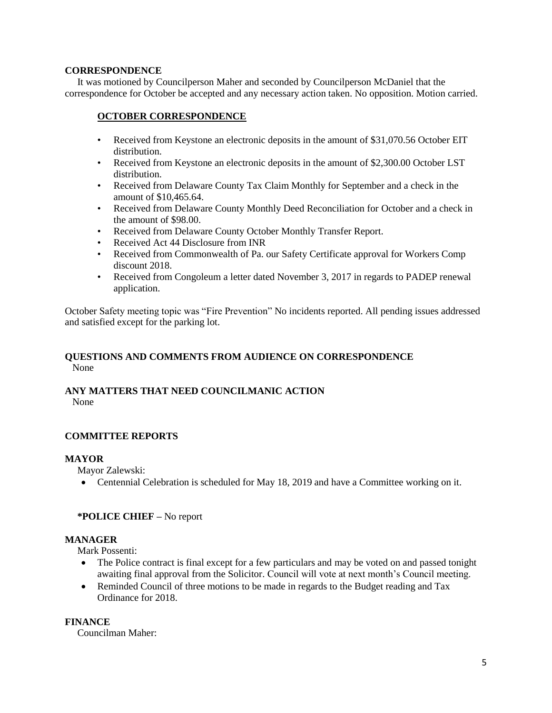### **CORRESPONDENCE**

 It was motioned by Councilperson Maher and seconded by Councilperson McDaniel that the correspondence for October be accepted and any necessary action taken. No opposition. Motion carried.

# **OCTOBER CORRESPONDENCE**

- Received from Keystone an electronic deposits in the amount of \$31,070.56 October EIT distribution.
- Received from Keystone an electronic deposits in the amount of \$2,300.00 October LST distribution.
- Received from Delaware County Tax Claim Monthly for September and a check in the amount of \$10,465.64.
- Received from Delaware County Monthly Deed Reconciliation for October and a check in the amount of \$98.00.
- Received from Delaware County October Monthly Transfer Report.
- Received Act 44 Disclosure from INR
- Received from Commonwealth of Pa. our Safety Certificate approval for Workers Comp discount 2018.
- Received from Congoleum a letter dated November 3, 2017 in regards to PADEP renewal application.

October Safety meeting topic was "Fire Prevention" No incidents reported. All pending issues addressed and satisfied except for the parking lot.

# **QUESTIONS AND COMMENTS FROM AUDIENCE ON CORRESPONDENCE** None

#### **ANY MATTERS THAT NEED COUNCILMANIC ACTION**  None

### **COMMITTEE REPORTS**

### **MAYOR**

Mayor Zalewski:

• Centennial Celebration is scheduled for May 18, 2019 and have a Committee working on it.

### **\*POLICE CHIEF –** No report

### **MANAGER**

Mark Possenti:

- The Police contract is final except for a few particulars and may be voted on and passed tonight awaiting final approval from the Solicitor. Council will vote at next month's Council meeting.
- Reminded Council of three motions to be made in regards to the Budget reading and Tax Ordinance for 2018.

### **FINANCE**

Councilman Maher: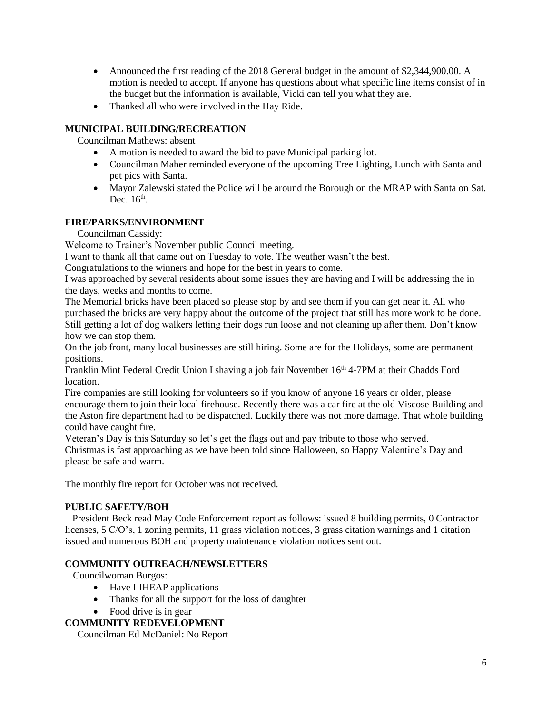- Announced the first reading of the 2018 General budget in the amount of \$2,344,900.00. A motion is needed to accept. If anyone has questions about what specific line items consist of in the budget but the information is available, Vicki can tell you what they are.
- Thanked all who were involved in the Hay Ride.

# **MUNICIPAL BUILDING/RECREATION**

Councilman Mathews: absent

- A motion is needed to award the bid to pave Municipal parking lot.
- Councilman Maher reminded everyone of the upcoming Tree Lighting, Lunch with Santa and pet pics with Santa.
- Mayor Zalewski stated the Police will be around the Borough on the MRAP with Santa on Sat. Dec.  $16<sup>th</sup>$ .

# **FIRE/PARKS/ENVIRONMENT**

Councilman Cassidy:

Welcome to Trainer's November public Council meeting.

I want to thank all that came out on Tuesday to vote. The weather wasn't the best.

Congratulations to the winners and hope for the best in years to come.

I was approached by several residents about some issues they are having and I will be addressing the in the days, weeks and months to come.

The Memorial bricks have been placed so please stop by and see them if you can get near it. All who purchased the bricks are very happy about the outcome of the project that still has more work to be done. Still getting a lot of dog walkers letting their dogs run loose and not cleaning up after them. Don't know how we can stop them.

On the job front, many local businesses are still hiring. Some are for the Holidays, some are permanent positions.

Franklin Mint Federal Credit Union I shaving a job fair November 16<sup>th</sup> 4-7PM at their Chadds Ford location.

Fire companies are still looking for volunteers so if you know of anyone 16 years or older, please encourage them to join their local firehouse. Recently there was a car fire at the old Viscose Building and the Aston fire department had to be dispatched. Luckily there was not more damage. That whole building could have caught fire.

Veteran's Day is this Saturday so let's get the flags out and pay tribute to those who served. Christmas is fast approaching as we have been told since Halloween, so Happy Valentine's Day and please be safe and warm.

The monthly fire report for October was not received.

# **PUBLIC SAFETY/BOH**

 President Beck read May Code Enforcement report as follows: issued 8 building permits, 0 Contractor licenses, 5 C/O's, 1 zoning permits, 11 grass violation notices, 3 grass citation warnings and 1 citation issued and numerous BOH and property maintenance violation notices sent out.

# **COMMUNITY OUTREACH/NEWSLETTERS**

Councilwoman Burgos:

- Have LIHEAP applications
- Thanks for all the support for the loss of daughter
- Food drive is in gear

# **COMMUNITY REDEVELOPMENT**

Councilman Ed McDaniel: No Report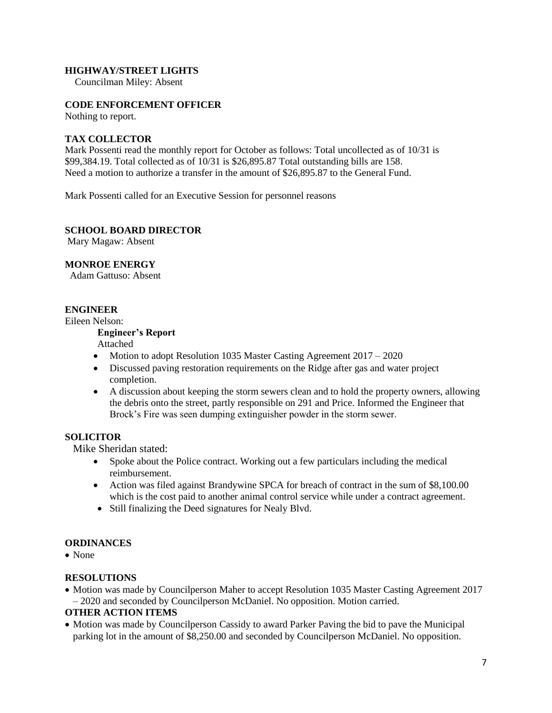#### **HIGHWAY/STREET LIGHTS**

Councilman Miley: Absent

## **CODE ENFORCEMENT OFFICER**

Nothing to report.

## **TAX COLLECTOR**

Mark Possenti read the monthly report for October as follows: Total uncollected as of 10/31 is \$99,384.19. Total collected as of 10/31 is \$26,895.87 Total outstanding bills are 158. Need a motion to authorize a transfer in the amount of \$26,895.87 to the General Fund.

Mark Possenti called for an Executive Session for personnel reasons

#### **SCHOOL BOARD DIRECTOR**

Mary Magaw: Absent

### **MONROE ENERGY**

Adam Gattuso: Absent

# **ENGINEER**

Eileen Nelson:

# **Engineer's Report**

Attached

- Motion to adopt Resolution 1035 Master Casting Agreement 2017 2020
- Discussed paving restoration requirements on the Ridge after gas and water project completion.
- A discussion about keeping the storm sewers clean and to hold the property owners, allowing the debris onto the street, partly responsible on 291 and Price. Informed the Engineer that Brock's Fire was seen dumping extinguisher powder in the storm sewer.

## **SOLICITOR**

Mike Sheridan stated:

- Spoke about the Police contract. Working out a few particulars including the medical reimbursement.
- Action was filed against Brandywine SPCA for breach of contract in the sum of \$8,100.00 which is the cost paid to another animal control service while under a contract agreement.
- Still finalizing the Deed signatures for Nealy Blvd.

### **ORDINANCES**

• None

### **RESOLUTIONS**

• Motion was made by Councilperson Maher to accept Resolution 1035 Master Casting Agreement 2017 – 2020 and seconded by Councilperson McDaniel. No opposition. Motion carried.

### **OTHER ACTION ITEMS**

• Motion was made by Councilperson Cassidy to award Parker Paving the bid to pave the Municipal parking lot in the amount of \$8,250.00 and seconded by Councilperson McDaniel. No opposition.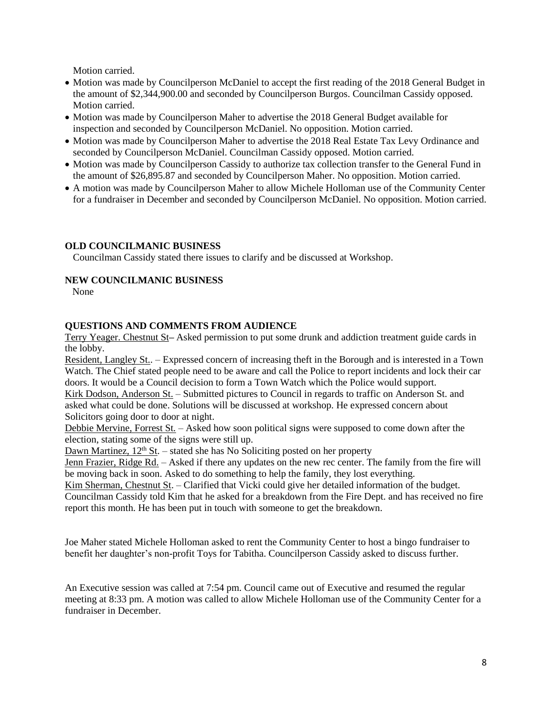Motion carried.

- Motion was made by Councilperson McDaniel to accept the first reading of the 2018 General Budget in the amount of \$2,344,900.00 and seconded by Councilperson Burgos. Councilman Cassidy opposed. Motion carried.
- Motion was made by Councilperson Maher to advertise the 2018 General Budget available for inspection and seconded by Councilperson McDaniel. No opposition. Motion carried.
- Motion was made by Councilperson Maher to advertise the 2018 Real Estate Tax Levy Ordinance and seconded by Councilperson McDaniel. Councilman Cassidy opposed. Motion carried.
- Motion was made by Councilperson Cassidy to authorize tax collection transfer to the General Fund in the amount of \$26,895.87 and seconded by Councilperson Maher. No opposition. Motion carried.
- A motion was made by Councilperson Maher to allow Michele Holloman use of the Community Center for a fundraiser in December and seconded by Councilperson McDaniel. No opposition. Motion carried.

# **OLD COUNCILMANIC BUSINESS**

Councilman Cassidy stated there issues to clarify and be discussed at Workshop.

# **NEW COUNCILMANIC BUSINESS**

None

# **QUESTIONS AND COMMENTS FROM AUDIENCE**

Terry Yeager. Chestnut St**–** Asked permission to put some drunk and addiction treatment guide cards in the lobby.

Resident, Langley St.. – Expressed concern of increasing theft in the Borough and is interested in a Town Watch. The Chief stated people need to be aware and call the Police to report incidents and lock their car doors. It would be a Council decision to form a Town Watch which the Police would support.

Kirk Dodson, Anderson St. – Submitted pictures to Council in regards to traffic on Anderson St. and asked what could be done. Solutions will be discussed at workshop. He expressed concern about Solicitors going door to door at night.

Debbie Mervine, Forrest St. – Asked how soon political signs were supposed to come down after the election, stating some of the signs were still up.

Dawn Martinez,  $12<sup>th</sup>$  St. – stated she has No Soliciting posted on her property

Jenn Frazier, Ridge Rd. – Asked if there any updates on the new rec center. The family from the fire will be moving back in soon. Asked to do something to help the family, they lost everything.

Kim Sherman, Chestnut St. – Clarified that Vicki could give her detailed information of the budget. Councilman Cassidy told Kim that he asked for a breakdown from the Fire Dept. and has received no fire report this month. He has been put in touch with someone to get the breakdown.

Joe Maher stated Michele Holloman asked to rent the Community Center to host a bingo fundraiser to benefit her daughter's non-profit Toys for Tabitha. Councilperson Cassidy asked to discuss further.

An Executive session was called at 7:54 pm. Council came out of Executive and resumed the regular meeting at 8:33 pm. A motion was called to allow Michele Holloman use of the Community Center for a fundraiser in December.